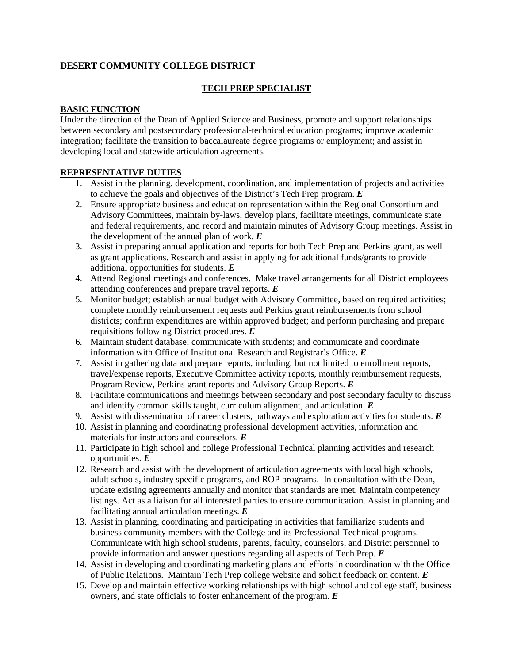## **DESERT COMMUNITY COLLEGE DISTRICT**

### **TECH PREP SPECIALIST**

#### **BASIC FUNCTION**

Under the direction of the Dean of Applied Science and Business, promote and support relationships between secondary and postsecondary professional-technical education programs; improve academic integration; facilitate the transition to baccalaureate degree programs or employment; and assist in developing local and statewide articulation agreements.

## **REPRESENTATIVE DUTIES**

- 1. Assist in the planning, development, coordination, and implementation of projects and activities to achieve the goals and objectives of the District's Tech Prep program. *E*
- 2. Ensure appropriate business and education representation within the Regional Consortium and Advisory Committees, maintain by-laws, develop plans, facilitate meetings, communicate state and federal requirements, and record and maintain minutes of Advisory Group meetings. Assist in the development of the annual plan of work. *E*
- 3. Assist in preparing annual application and reports for both Tech Prep and Perkins grant, as well as grant applications. Research and assist in applying for additional funds/grants to provide additional opportunities for students. *E*
- 4. Attend Regional meetings and conferences. Make travel arrangements for all District employees attending conferences and prepare travel reports. *E*
- 5. Monitor budget; establish annual budget with Advisory Committee, based on required activities; complete monthly reimbursement requests and Perkins grant reimbursements from school districts; confirm expenditures are within approved budget; and perform purchasing and prepare requisitions following District procedures. *E*
- 6. Maintain student database; communicate with students; and communicate and coordinate information with Office of Institutional Research and Registrar's Office. *E*
- 7. Assist in gathering data and prepare reports, including, but not limited to enrollment reports, travel/expense reports, Executive Committee activity reports, monthly reimbursement requests, Program Review, Perkins grant reports and Advisory Group Reports. *E*
- 8. Facilitate communications and meetings between secondary and post secondary faculty to discuss and identify common skills taught, curriculum alignment, and articulation. *E*
- 9. Assist with dissemination of career clusters, pathways and exploration activities for students. *E*
- 10. Assist in planning and coordinating professional development activities, information and materials for instructors and counselors. *E*
- 11. Participate in high school and college Professional Technical planning activities and research opportunities. *E*
- 12. Research and assist with the development of articulation agreements with local high schools, adult schools, industry specific programs, and ROP programs. In consultation with the Dean, update existing agreements annually and monitor that standards are met. Maintain competency listings. Act as a liaison for all interested parties to ensure communication. Assist in planning and facilitating annual articulation meetings. *E*
- 13. Assist in planning, coordinating and participating in activities that familiarize students and business community members with the College and its Professional-Technical programs. Communicate with high school students, parents, faculty, counselors, and District personnel to provide information and answer questions regarding all aspects of Tech Prep. *E*
- 14. Assist in developing and coordinating marketing plans and efforts in coordination with the Office of Public Relations. Maintain Tech Prep college website and solicit feedback on content. *E*
- 15. Develop and maintain effective working relationships with high school and college staff, business owners, and state officials to foster enhancement of the program. *E*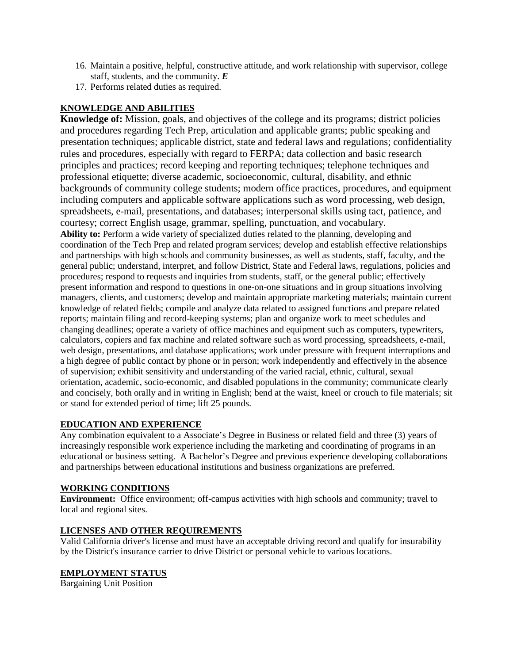- 16. Maintain a positive, helpful, constructive attitude, and work relationship with supervisor, college staff, students, and the community. *E*
- 17. Performs related duties as required.

# **KNOWLEDGE AND ABILITIES**

**Knowledge of:** Mission, goals, and objectives of the college and its programs; district policies and procedures regarding Tech Prep, articulation and applicable grants; public speaking and presentation techniques; applicable district, state and federal laws and regulations; confidentiality rules and procedures, especially with regard to FERPA; data collection and basic research principles and practices; record keeping and reporting techniques; telephone techniques and professional etiquette; diverse academic, socioeconomic, cultural, disability, and ethnic backgrounds of community college students; modern office practices, procedures, and equipment including computers and applicable software applications such as word processing, web design, spreadsheets, e-mail, presentations, and databases; interpersonal skills using tact, patience, and courtesy; correct English usage, grammar, spelling, punctuation, and vocabulary. **Ability to:** Perform a wide variety of specialized duties related to the planning, developing and coordination of the Tech Prep and related program services; develop and establish effective relationships and partnerships with high schools and community businesses, as well as students, staff, faculty, and the general public; understand, interpret, and follow District, State and Federal laws, regulations, policies and procedures; respond to requests and inquiries from students, staff, or the general public; effectively present information and respond to questions in one-on-one situations and in group situations involving managers, clients, and customers; develop and maintain appropriate marketing materials; maintain current knowledge of related fields; compile and analyze data related to assigned functions and prepare related reports; maintain filing and record-keeping systems; plan and organize work to meet schedules and changing deadlines; operate a variety of office machines and equipment such as computers, typewriters, calculators, copiers and fax machine and related software such as word processing, spreadsheets, e-mail, web design, presentations, and database applications; work under pressure with frequent interruptions and a high degree of public contact by phone or in person; work independently and effectively in the absence of supervision; exhibit sensitivity and understanding of the varied racial, ethnic, cultural, sexual orientation, academic, socio-economic, and disabled populations in the community; communicate clearly and concisely, both orally and in writing in English; bend at the waist, kneel or crouch to file materials; sit or stand for extended period of time; lift 25 pounds.

# **EDUCATION AND EXPERIENCE**

Any combination equivalent to a Associate's Degree in Business or related field and three (3) years of increasingly responsible work experience including the marketing and coordinating of programs in an educational or business setting. A Bachelor's Degree and previous experience developing collaborations and partnerships between educational institutions and business organizations are preferred.

# **WORKING CONDITIONS**

**Environment:** Office environment; off-campus activities with high schools and community; travel to local and regional sites.

# **LICENSES AND OTHER REQUIREMENTS**

Valid California driver's license and must have an acceptable driving record and qualify for insurability by the District's insurance carrier to drive District or personal vehicle to various locations.

# **EMPLOYMENT STATUS**

Bargaining Unit Position